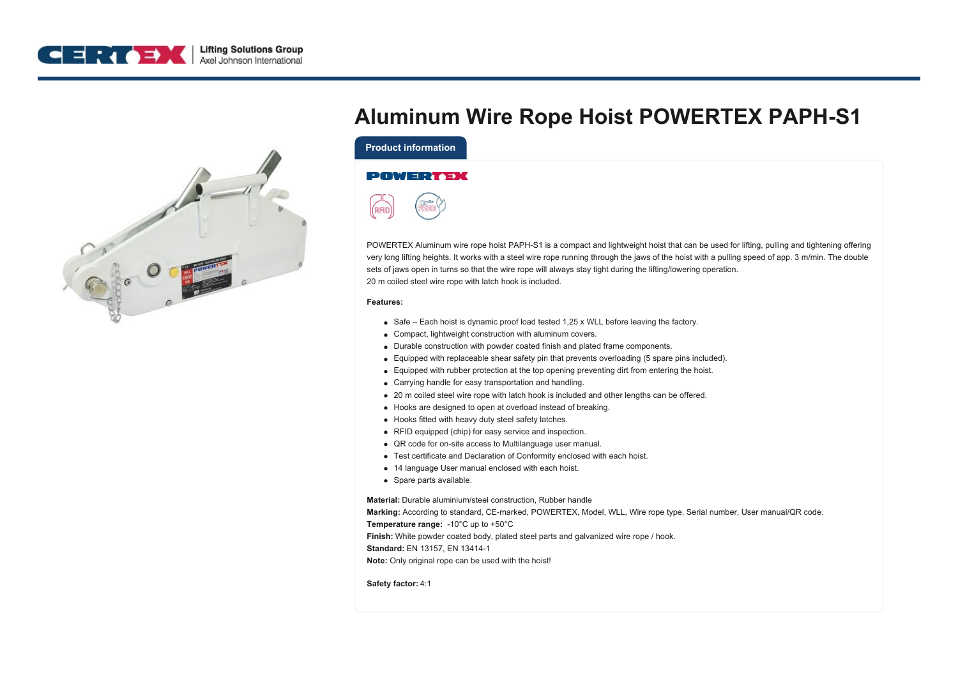



## **Aluminum Wire Rope Hoist POWERTEX PAPH-S1**

**Product information**

## **POWERTEX**



POWERTEX Aluminum wire rope hoist PAPH-S1 is a compact and lightweight hoist that can be used for lifting, pulling and tightening offering very long lifting heights. It works with a steel wire rope running through the jaws of the hoist with a pulling speed of app. 3 m/min. The double sets of jaws open in turns so that the wire rope will always stay tight during the lifting/lowering operation. 20 m coiled steel wire rope with latch hook is included.

## **Features:**

- $\bullet$  Safe Each hoist is dynamic proof load tested 1,25 x WLL before leaving the factory.
- Compact, lightweight construction with aluminum covers.
- Durable construction with powder coated finish and plated frame components.
- Equipped with replaceable shear safety pin that prevents overloading (5 spare pins included).
- Equipped with rubber protection at the top opening preventing dirt from entering the hoist.
- Carrying handle for easy transportation and handling.
- 20 m coiled steel wire rope with latch hook is included and other lengths can be offered.
- Hooks are designed to open at overload instead of breaking.
- Hooks fitted with heavy duty steel safety latches.
- RFID equipped (chip) for easy service and inspection.
- QR code for on-site access to Multilanguage user manual.
- Test certificate and Declaration of Conformity enclosed with each hoist.
- 14 language User manual enclosed with each hoist.
- Spare parts available.

**Material:** Durable aluminium/steel construction, Rubber handle

**Marking:** According to standard, CE-marked, POWERTEX, Model, WLL, Wire rope type, Serial number, User manual/QR code.

**Temperature range:** -10°C up to +50°C

**Finish:** White powder coated body, plated steel parts and galvanized wire rope / hook.

**Standard:** EN 13157, EN 13414-1

**Note:** Only original rope can be used with the hoist!

**Safety factor:** 4:1